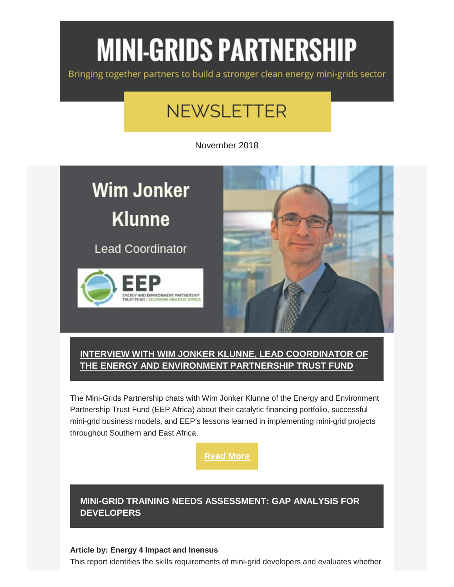# **MINI-GRIDS PARTNERSHIP**

Bringing together partners to build a stronger clean energy mini-grids sector

## **NEWSLETTER**

November 2018

# **Wim Jonker Klunne**

**Lead Coordinator** 





#### **[INTERVIEW WITH WIM JONKER KLUNNE, LEAD COORDINATOR OF](http://energyaccess.org/news/recent-news/interview-with-wim-yonker-klunne-lead-coordinator-of-eep-africa/)  THE ENERGY AND [ENVIRONMENT PARTNERSHIP TRUST FUND](http://energyaccess.org/news/recent-news/interview-with-wim-yonker-klunne-lead-coordinator-of-eep-africa/)**

The Mini-Grids Partnership chats with Wim Jonker Klunne of the Energy and Environment Partnership Trust Fund (EEP Africa) about their catalytic financing portfolio, successful mini-grid business models, and EEP's lessons learned in implementing mini-grid projects throughout Southern and East Africa.

**[Read More](http://energyaccess.org/news/recent-news/interview-with-wim-yonker-klunne-lead-coordinator-of-eep-africa/)**

**[MINI-GRID TRAINING NEEDS ASSESSMENT: GAP ANALYSIS FOR](http://energyaccess.org/wp-content/uploads/2018/11/AFDB_Minigrid_Developer_Training_Needs_Assessment_September-2018.pdf)  [DEVELOPERS](http://energyaccess.org/wp-content/uploads/2018/11/AFDB_Minigrid_Developer_Training_Needs_Assessment_September-2018.pdf)**

#### **Article by: Energy 4 Impact and Inensus**

This report identifies the skills requirements of mini-grid developers and evaluates whether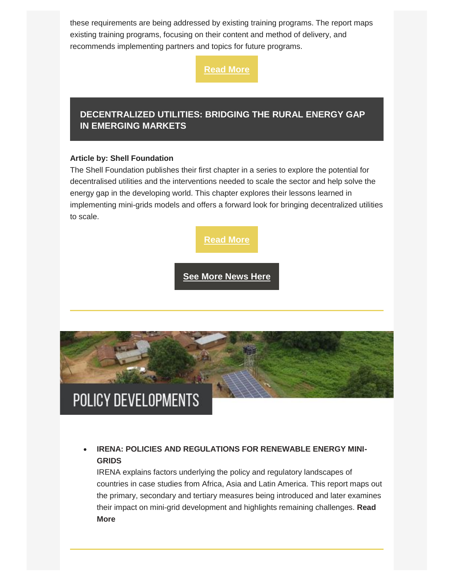these requirements are being addressed by existing training programs. The report maps existing training programs, focusing on their content and method of delivery, and recommends implementing partners and topics for future programs.

**[Read More](http://energyaccess.org/wp-content/uploads/2018/11/AFDB_Minigrid_Developer_Training_Needs_Assessment_September-2018.pdf)**

#### **[DECENTRALIZED UTILITIES: BRIDGING THE RURAL ENERGY GAP](https://shellfoundation.org/app/uploads/2018/10/Shell-Foundation_Off-Grid-Utilities-Report_1.pdf)  [IN EMERGING MARKETS](https://shellfoundation.org/app/uploads/2018/10/Shell-Foundation_Off-Grid-Utilities-Report_1.pdf)**

#### **Article by: Shell Foundation**

The Shell Foundation publishes their first chapter in a series to explore the potential for decentralised utilities and the interventions needed to scale the sector and help solve the energy gap in the developing world. This chapter explores their lessons learned in implementing mini-grids models and offers a forward look for bringing decentralized utilities to scale.



**[See More News Here](http://energyaccess.org/news/recent-news/november-mini-grid-news/)**



#### **[IRENA: POLICIES AND REGULATIONS FOR RENEWABLE ENERGY MINI-](http://www.irena.org/-/media/Files/IRENA/Agency/Publication/2018/Oct/IRENA_mini-grid_policies_2018.pdf)[GRIDS](http://www.irena.org/-/media/Files/IRENA/Agency/Publication/2018/Oct/IRENA_mini-grid_policies_2018.pdf)**

IRENA explains factors underlying the policy and regulatory landscapes of countries in case studies from Africa, Asia and Latin America. This report maps out the primary, secondary and tertiary measures being introduced and later examines their impact on mini-grid development and highlights remaining challenges. **[Read](http://www.irena.org/-/media/Files/IRENA/Agency/Publication/2018/Oct/IRENA_mini-grid_policies_2018.pdf)  [More](http://www.irena.org/-/media/Files/IRENA/Agency/Publication/2018/Oct/IRENA_mini-grid_policies_2018.pdf)**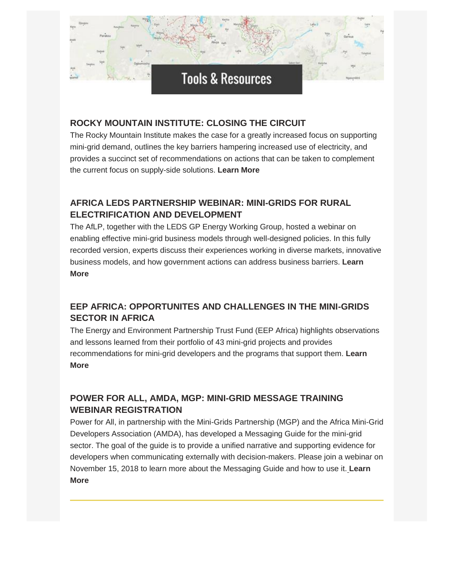### **Tools & Resources**

#### **[ROCKY MOUNTAIN INSTITUTE: CLOSING THE CIRCUIT](https://www.rmi.org/insight/closing-the-circuit/)**

The Rocky Mountain Institute makes the case for a greatly increased focus on supporting mini-grid demand, outlines the key barriers hampering increased use of electricity, and provides a succinct set of recommendations on actions that can be taken to complement the current focus on supply-side solutions. **[Learn More](https://www.rmi.org/insight/closing-the-circuit/)**

#### **AFRICA LEDS PARTNERSHIP [WEBINAR: MINI-GRIDS FOR RURAL](https://africaledspartnership.org/en/2018/09/05/webinar-mini-grids-for-rural-electrification-and-development-enabling-effective-business-models-through-well-designed-policies/)  [ELECTRIFICATION AND DEVELOPMENT](https://africaledspartnership.org/en/2018/09/05/webinar-mini-grids-for-rural-electrification-and-development-enabling-effective-business-models-through-well-designed-policies/)**

The AfLP, together with the LEDS GP Energy Working Group, hosted a webinar on enabling effective mini-grid business models through well-designed policies. In this fully recorded version, experts discuss their experiences working in diverse markets, innovative business models, and how government actions can address business barriers. **[Learn](https://africaledspartnership.org/en/2018/09/05/webinar-mini-grids-for-rural-electrification-and-development-enabling-effective-business-models-through-well-designed-policies/)  [More](https://africaledspartnership.org/en/2018/09/05/webinar-mini-grids-for-rural-electrification-and-development-enabling-effective-business-models-through-well-designed-policies/)**

#### **[EEP AFRICA: OPPORTUNITES AND CHALLENGES IN THE MINI-GRIDS](https://eepafrica.org/wp-content/uploads/EEP_MiniGrids_Study_DigitalVersion.pdf)  [SECTOR IN AFRICA](https://eepafrica.org/wp-content/uploads/EEP_MiniGrids_Study_DigitalVersion.pdf)**

The Energy and Environment Partnership Trust Fund (EEP Africa) highlights observations and lessons learned from their portfolio of 43 mini-grid projects and provides recommendations for mini-grid developers and the programs that support them. **[Learn](https://eepafrica.org/wp-content/uploads/EEP_MiniGrids_Study_DigitalVersion.pdf)  [More](https://eepafrica.org/wp-content/uploads/EEP_MiniGrids_Study_DigitalVersion.pdf)**

#### **[POWER FOR ALL, AMDA, MGP: MINI-GRID MESSAGE TRAINING](https://zoom.us/meeting/register/49e6b99ad810909cc5b9141539e44ee6)  [WEBINAR REGISTRATION](https://zoom.us/meeting/register/49e6b99ad810909cc5b9141539e44ee6)**

Power for All, in partnership with the Mini-Grids Partnership (MGP) and the Africa Mini-Grid Developers Association (AMDA), has developed a Messaging Guide for the mini-grid sector. The goal of the guide is to provide a unified narrative and supporting evidence for developers when communicating externally with decision-makers. Please join a webinar on November 15, 2018 to learn more about the Messaging Guide and how to use it[.](https://gallery.mailchimp.com/39ef5953cb296ad051b58bd59/files/59c4d023-2094-49d8-bc71-9f96b9f5188f/20180516_Benchmarking_2.0_Final_to_Share.pdf) **[Learn](https://zoom.us/meeting/register/49e6b99ad810909cc5b9141539e44ee6)  [More](https://zoom.us/meeting/register/49e6b99ad810909cc5b9141539e44ee6)**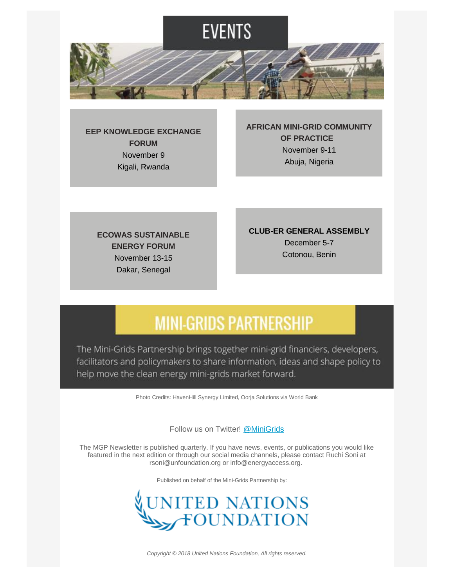

**[EEP KNOWLEDGE EXCHANGE](https://eepafrica.org/welcome-to-eep-knowledge-exchange-forum-in-kigali-rwanda/)  [FORUM](https://eepafrica.org/welcome-to-eep-knowledge-exchange-forum-in-kigali-rwanda/)** November 9 Kigali, Rwanda

**[AFRICAN MINI-GRID COMMUNITY](http://energyaccess.org/wp-content/uploads/2018/11/Africa-LEDS-Partnership_Mini-Grids-Community-of-Practice.pdf)  [OF PRACTICE](http://energyaccess.org/wp-content/uploads/2018/11/Africa-LEDS-Partnership_Mini-Grids-Community-of-Practice.pdf)**  November 9-11 Abuja, Nigeria

**[ECOWAS SUSTAINABLE](http://esef2018.com/)  [ENERGY FORUM](http://esef2018.com/)** November 13-15 Dakar, Senegal

**CLUB-ER GENERAL ASSEMBLY** December 5-7 Cotonou, Benin

### **MINI-GRIDS PARTNERSHIP**

The Mini-Grids Partnership brings together mini-grid financiers, developers, facilitators and policymakers to share information, ideas and shape policy to help move the clean energy mini-grids market forward.

Photo Credits: HavenHill Synergy Limited, Oorja Solutions via World Bank

Follow us on Twitter! [@MiniGrids](https://twitter.com/MiniGrids)

The MGP Newsletter is published quarterly. If you have news, events, or publications you would like featured in the next edition or through our social media channels, please contact Ruchi Soni at rsoni@unfoundation.org or info@energyaccess.org.

Published on behalf of the Mini-Grids Partnership by:



*Copyright © 2018 United Nations Foundation, All rights reserved.*